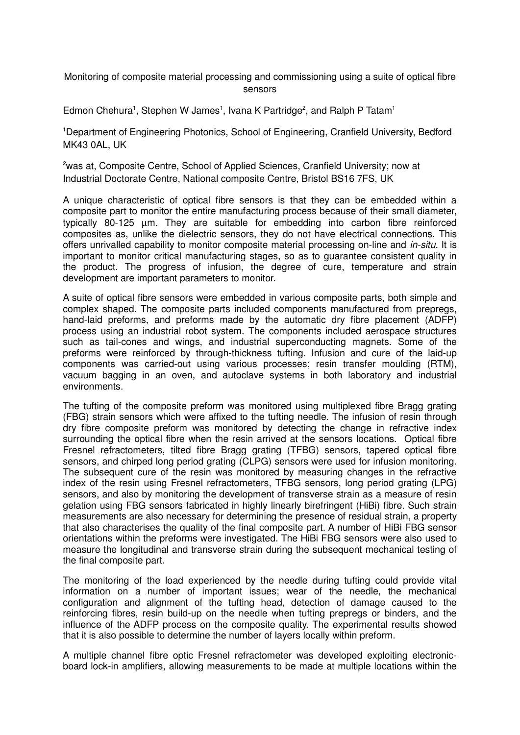Monitoring of composite material processing and commissioning using a suite of optical fibre sensors

Edmon Chehura<sup>1</sup>, Stephen W James<sup>1</sup>, Ivana K Partridge<sup>2</sup>, and Ralph P Tatam<sup>1</sup>

<sup>1</sup>Department of Engineering Photonics, School of Engineering, Cranfield University, Bedford MK43 0AL, UK

<sup>2</sup>was at, Composite Centre, School of Applied Sciences, Cranfield University; now at Industrial Doctorate Centre, National composite Centre, Bristol BS16 7FS, UK

A unique characteristic of optical fibre sensors is that they can be embedded within a composite part to monitor the entire manufacturing process because of their small diameter, typically 80-125 µm. They are suitable for embedding into carbon fibre reinforced composites as, unlike the dielectric sensors, they do not have electrical connections. This offers unrivalled capability to monitor composite material processing on-line and *in-situ*. It is important to monitor critical manufacturing stages, so as to guarantee consistent quality in the product. The progress of infusion, the degree of cure, temperature and strain development are important parameters to monitor.

A suite of optical fibre sensors were embedded in various composite parts, both simple and complex shaped. The composite parts included components manufactured from prepregs, hand-laid preforms, and preforms made by the automatic dry fibre placement (ADFP) process using an industrial robot system. The components included aerospace structures such as tail-cones and wings, and industrial superconducting magnets. Some of the preforms were reinforced by through-thickness tufting. Infusion and cure of the laid-up components was carried-out using various processes; resin transfer moulding (RTM), vacuum bagging in an oven, and autoclave systems in both laboratory and industrial environments.

The tufting of the composite preform was monitored using multiplexed fibre Bragg grating (FBG) strain sensors which were affixed to the tufting needle. The infusion of resin through dry fibre composite preform was monitored by detecting the change in refractive index surrounding the optical fibre when the resin arrived at the sensors locations. Optical fibre Fresnel refractometers, tilted fibre Bragg grating (TFBG) sensors, tapered optical fibre sensors, and chirped long period grating (CLPG) sensors were used for infusion monitoring. The subsequent cure of the resin was monitored by measuring changes in the refractive index of the resin using Fresnel refractometers, TFBG sensors, long period grating (LPG) sensors, and also by monitoring the development of transverse strain as a measure of resin gelation using FBG sensors fabricated in highly linearly birefringent (HiBi) fibre. Such strain measurements are also necessary for determining the presence of residual strain, a property that also characterises the quality of the final composite part. A number of HiBi FBG sensor orientations within the preforms were investigated. The HiBi FBG sensors were also used to measure the longitudinal and transverse strain during the subsequent mechanical testing of the final composite part.

The monitoring of the load experienced by the needle during tufting could provide vital information on a number of important issues; wear of the needle, the mechanical configuration and alignment of the tufting head, detection of damage caused to the reinforcing fibres, resin build-up on the needle when tufting prepregs or binders, and the influence of the ADFP process on the composite quality. The experimental results showed that it is also possible to determine the number of layers locally within preform.

A multiple channel fibre optic Fresnel refractometer was developed exploiting electronicboard lock-in amplifiers, allowing measurements to be made at multiple locations within the